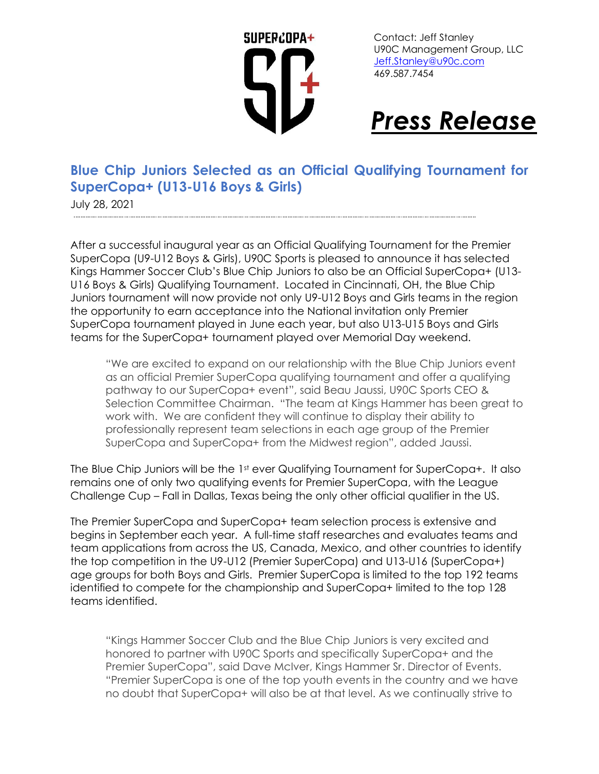

Contact: Jeff Stanley U90C Management Group, LLC [Jeff.Stanley@u90c.com](mailto:Jeff.Stanley@u90c.com) 469.587.7454

## *Press Release*

## **Blue Chip Juniors Selected as an Official Qualifying Tournament for SuperCopa+ (U13-U16 Boys & Girls)**

July 28, 2021

After a successful inaugural year as an Official Qualifying Tournament for the Premier SuperCopa (U9-U12 Boys & Girls), U90C Sports is pleased to announce it has selected Kings Hammer Soccer Club's Blue Chip Juniors to also be an Official SuperCopa+ (U13- U16 Boys & Girls) Qualifying Tournament. Located in Cincinnati, OH, the Blue Chip Juniors tournament will now provide not only U9-U12 Boys and Girls teams in the region the opportunity to earn acceptance into the National invitation only Premier SuperCopa tournament played in June each year, but also U13-U15 Boys and Girls teams for the SuperCopa+ tournament played over Memorial Day weekend.

"We are excited to expand on our relationship with the Blue Chip Juniors event as an official Premier SuperCopa qualifying tournament and offer a qualifying pathway to our SuperCopa+ event", said Beau Jaussi, U90C Sports CEO & Selection Committee Chairman. "The team at Kings Hammer has been great to work with. We are confident they will continue to display their ability to professionally represent team selections in each age group of the Premier SuperCopa and SuperCopa+ from the Midwest region", added Jaussi.

The Blue Chip Juniors will be the 1st ever Qualifying Tournament for SuperCopa+. It also remains one of only two qualifying events for Premier SuperCopa, with the League Challenge Cup – Fall in Dallas, Texas being the only other official qualifier in the US.

The Premier SuperCopa and SuperCopa+ team selection process is extensive and begins in September each year. A full-time staff researches and evaluates teams and team applications from across the US, Canada, Mexico, and other countries to identify the top competition in the U9-U12 (Premier SuperCopa) and U13-U16 (SuperCopa+) age groups for both Boys and Girls. Premier SuperCopa is limited to the top 192 teams identified to compete for the championship and SuperCopa+ limited to the top 128 teams identified.

"Kings Hammer Soccer Club and the Blue Chip Juniors is very excited and honored to partner with U90C Sports and specifically SuperCopa+ and the Premier SuperCopa", said Dave McIver, Kings Hammer Sr. Director of Events. "Premier SuperCopa is one of the top youth events in the country and we have no doubt that SuperCopa+ will also be at that level. As we continually strive to